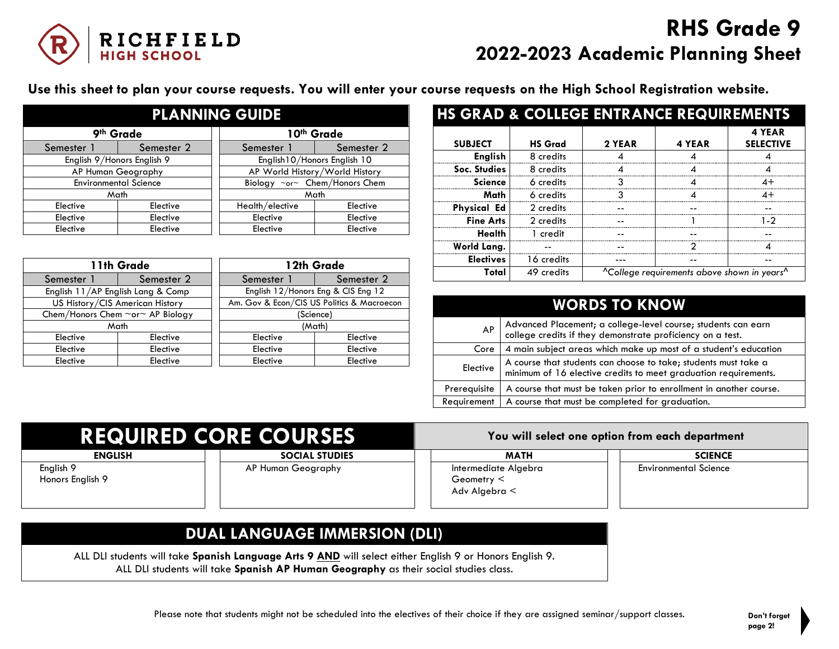

## **RHS Grade 9 2022-2023 Academic Planning Sheet**

**Use this sheet to plan your course requests. You will enter your course requests on the High School Registration website.**

| <b>PLANNING GUIDE</b>        |            |  |                                |            |  |
|------------------------------|------------|--|--------------------------------|------------|--|
| 9th Grade                    |            |  | 10th Grade                     |            |  |
| Semester 1                   | Semester 2 |  | Semester 1                     | Semester 2 |  |
| English 9/Honors English 9   |            |  | English 10/Honors English 10   |            |  |
| AP Human Geography           |            |  | AP World History/World History |            |  |
| <b>Environmental Science</b> |            |  | Biology ~or~ Chem/Honors Chem  |            |  |
| Math                         |            |  | Math                           |            |  |
| Elective                     | Elective   |  | Health/elective                | Elective   |  |
| Elective                     | Elective   |  | Elective                       | Elective   |  |
| Elective                     | Elective   |  | Elective                       | Elective   |  |

| 11th Grade                        |            | 12th Grade                                 |            |
|-----------------------------------|------------|--------------------------------------------|------------|
| Semester 1                        | Semester 2 | Semester                                   | Semester 2 |
| English 11/AP English Lang & Comp |            | English 12/Honors Eng & CIS Eng 12         |            |
| US History/CIS American History   |            | Am. Gov & Econ/CIS US Politics & Macroecon |            |
| Chem/Honors Chem ~or~ AP Biology  |            | (Science)                                  |            |
| Math                              |            | (Math)                                     |            |
| Elective                          | Elective   | Elective                                   | Elective   |
| Elective                          | Elective   | Elective                                   | Elective   |
| Elective                          | Elective   | Elective                                   | Elective   |

| <b>HS GRAD &amp; COLLEGE ENTRANCE REQUIREMENTS</b> |                |        |                                                                     |                            |
|----------------------------------------------------|----------------|--------|---------------------------------------------------------------------|----------------------------|
| <b>SUBJECT</b>                                     | <b>HS Grad</b> | 2 YEAR | 4 YEAR                                                              | 4 YEAR<br><b>SELECTIVE</b> |
| <b>English</b>                                     | 8 credits      |        |                                                                     |                            |
| Soc. Studies                                       | 8 credits      |        |                                                                     |                            |
| <b>Science</b>                                     | 6 credits      |        |                                                                     | $4+$                       |
| Math                                               | 6 credits      |        |                                                                     | 4+                         |
| <b>Physical Ed</b>                                 | 2 credits      |        |                                                                     |                            |
| <b>Fine Arts</b>                                   | 2 credits      |        |                                                                     | 1.2                        |
| Health                                             | 1 credit       |        |                                                                     |                            |
| World Lang.                                        |                |        |                                                                     |                            |
| <b>Electives</b>                                   | 16 credits     |        |                                                                     |                            |
| Total                                              | 49 credits     |        | <sup>A</sup> College requirements above shown in years <sup>A</sup> |                            |

| <b>WORDS TO KNOW</b> |                                                                                                                                    |  |  |
|----------------------|------------------------------------------------------------------------------------------------------------------------------------|--|--|
| AP                   | Advanced Placement; a college-level course; students can earn college credits if they demonstrate proficiency on a test.           |  |  |
| Core                 | 4 main subject areas which make up most of a student's education                                                                   |  |  |
| Elective             | A course that students can choose to take; students must take a<br>minimum of 16 elective credits to meet graduation requirements. |  |  |
| Prerequisite         | A course that must be taken prior to enrollment in another course.                                                                 |  |  |
| Requirement          | A course that must be completed for graduation.                                                                                    |  |  |

| <b>REQUIRED CORE COURSES</b>  |                       |                                                          | You will select one option from each department |  |  |
|-------------------------------|-----------------------|----------------------------------------------------------|-------------------------------------------------|--|--|
| <b>ENGLISH</b>                | <b>SOCIAL STUDIES</b> | <b>MATH</b>                                              | <b>SCIENCE</b>                                  |  |  |
| English 9<br>Honors English 9 | AP Human Geography    | Intermediate Algebra<br>Geometry $\leq$<br>Adv Algebra < | <b>Environmental Science</b>                    |  |  |

## **DUAL LANGUAGE IMMERSION (DLI)**

ALL DLI students will take **Spanish Language Arts 9 AND** will select either English 9 or Honors English 9. ALL DLI students will take **Spanish AP Human Geography** as their social studies class.